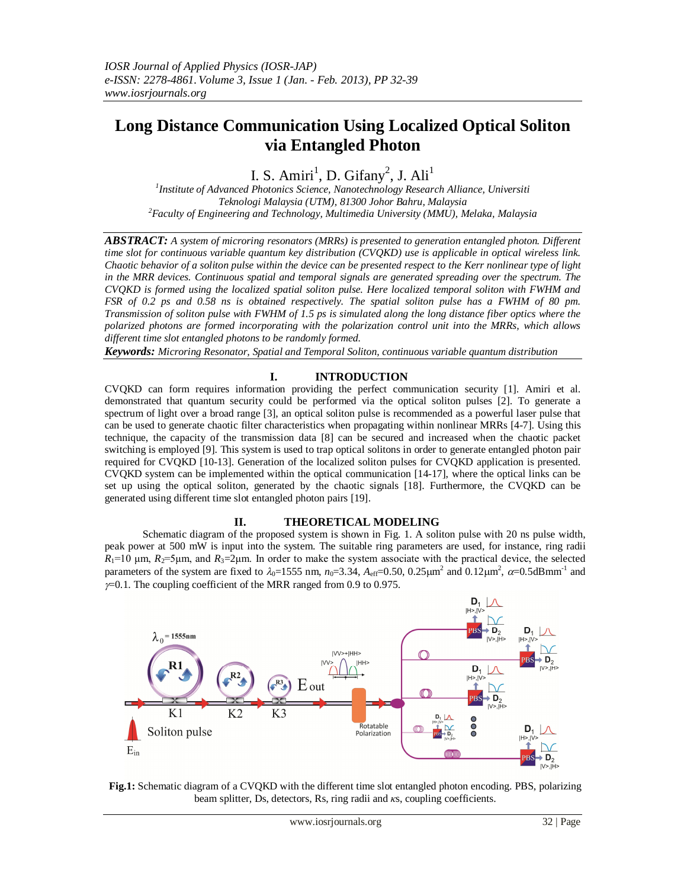# **Long Distance Communication Using Localized Optical Soliton via Entangled Photon**

I. S. Amiri<sup>1</sup>, D. Gifany<sup>2</sup>, J. Ali<sup>1</sup>

*1 Institute of Advanced Photonics Science, Nanotechnology Research Alliance, Universiti Teknologi Malaysia (UTM), 81300 Johor Bahru, Malaysia <sup>2</sup>Faculty of Engineering and Technology, Multimedia University (MMU), Melaka, Malaysia*

*ABSTRACT: A system of microring resonators (MRRs) is presented to generation entangled photon. Different time slot for continuous variable quantum key distribution (CVQKD) use is applicable in optical wireless link. Chaotic behavior of a soliton pulse within the device can be presented respect to the Kerr nonlinear type of light in the MRR devices. Continuous spatial and temporal signals are generated spreading over the spectrum. The CVQKD is formed using the localized spatial soliton pulse. Here localized temporal soliton with FWHM and FSR of 0.2 ps and 0.58 ns is obtained respectively. The spatial soliton pulse has a FWHM of 80 pm. Transmission of soliton pulse with FWHM of 1.5 ps is simulated along the long distance fiber optics where the polarized photons are formed incorporating with the polarization control unit into the MRRs, which allows different time slot entangled photons to be randomly formed.*

*Keywords: Microring Resonator, Spatial and Temporal Soliton, continuous variable quantum distribution*

# **I. INTRODUCTION**

CVQKD can form requires information providing the perfect communication security [1]. Amiri et al. demonstrated that quantum security could be performed via the optical soliton pulses [2]. To generate a spectrum of light over a broad range [3], an optical soliton pulse is recommended as a powerful laser pulse that can be used to generate chaotic filter characteristics when propagating within nonlinear MRRs [4-7]. Using this technique, the capacity of the transmission data [8] can be secured and increased when the chaotic packet switching is employed [9]. This system is used to trap optical solitons in order to generate entangled photon pair required for CVQKD [10-13]. Generation of the localized soliton pulses for CVQKD application is presented. CVQKD system can be implemented within the optical communication [14-17], where the optical links can be set up using the optical soliton, generated by the chaotic signals [18]. Furthermore, the CVQKD can be generated using different time slot entangled photon pairs [19].

## **II. THEORETICAL MODELING**

Schematic diagram of the proposed system is shown in Fig. 1. A soliton pulse with 20 ns pulse width, peak power at 500 mW is input into the system. The suitable ring parameters are used, for instance, ring radii  $R_1$ =10 μm,  $R_2$ =5μm, and  $R_3$ =2μm. In order to make the system associate with the practical device, the selected parameters of the system are fixed to  $\lambda_0$ =1555 nm,  $n_0$ =3.34,  $A_{eff}$ =0.50, 0.25 $\mu$ m<sup>2</sup> and 0.12 $\mu$ m<sup>2</sup>,  $\alpha$ =0.5dBmm<sup>-1</sup> and  $\gamma$ =0.1. The coupling coefficient of the MRR ranged from 0.9 to 0.975.



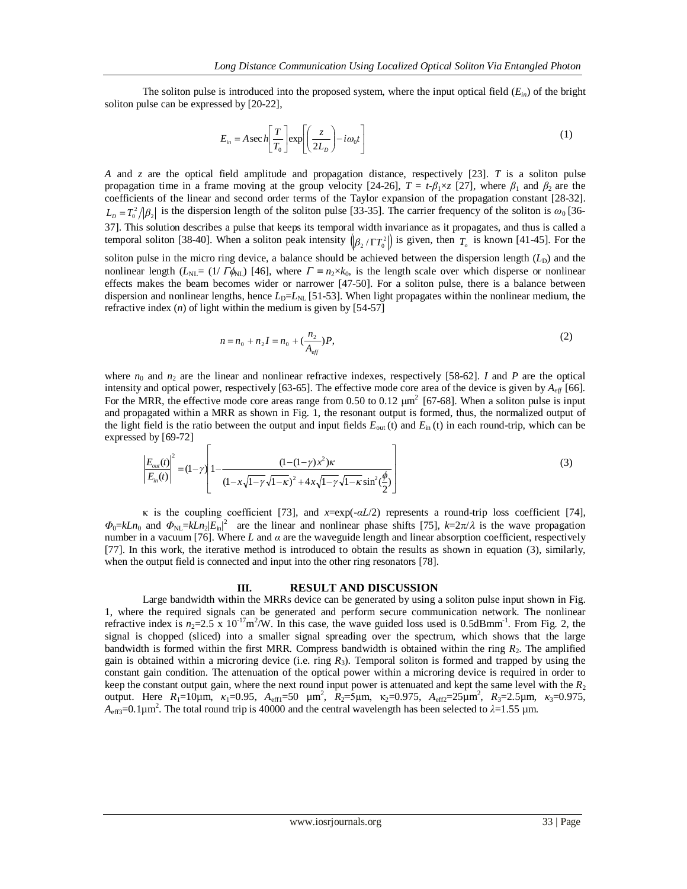The soliton pulse is introduced into the proposed system, where the input optical field  $(E_{in})$  of the bright soliton pulse can be expressed by [20-22],

$$
E_{in} = A \sec h \left[ \frac{T}{T_0} \right] \exp \left[ \left( \frac{z}{2L_D} \right) - i \omega_0 t \right]
$$
 (1)

*A* and *z* are the optical field amplitude and propagation distance, respectively [23]. *T* is a soliton pulse propagation time in a frame moving at the group velocity [24-26],  $T = t \cdot \beta_1 \times z$  [27], where  $\beta_1$  and  $\beta_2$  are the coefficients of the linear and second order terms of the Taylor expansion of the propagation constant [28-32].  $L<sub>D</sub> = T<sub>0</sub><sup>2</sup>/|\beta_2|$  is the dispersion length of the soliton pulse [33-35]. The carrier frequency of the soliton is  $\omega_0$  [36-37]. This solution describes a pulse that keeps its temporal width invariance as it propagates, and thus is called a temporal soliton [38-40]. When a soliton peak intensity  $(\beta_2/\Gamma T_0^2)$  is given, then  $T_o$  is known [41-45]. For the

soliton pulse in the micro ring device, a balance should be achieved between the dispersion length  $(L_D)$  and the nonlinear length ( $L_{NL} = (1/T \phi_{NL})$  [46], where  $\Gamma = n_2 \times k_0$ , is the length scale over which disperse or nonlinear effects makes the beam becomes wider or narrower [47-50]. For a soliton pulse, there is a balance between dispersion and nonlinear lengths, hence  $L<sub>D</sub>=L<sub>N</sub>$  [51-53]. When light propagates within the nonlinear medium, the refractive index (*n*) of light within the medium is given by [54-57]

$$
n = n_0 + n_2 I = n_0 + \left(\frac{n_2}{A_{\text{eff}}}\right) P,\tag{2}
$$

where  $n_0$  and  $n_2$  are the linear and nonlinear refractive indexes, respectively [58-62]. *I* and *P* are the optical intensity and optical power, respectively [63-65]. The effective mode core area of the device is given by *Aeff* [66]*.* For the MRR, the effective mode core areas range from 0.50 to 0.12  $\mu$ m<sup>2</sup> [67-68]. When a soliton pulse is input and propagated within a MRR as shown in Fig. 1, the resonant output is formed, thus, the normalized output of the light field is the ratio between the output and input fields *E*out (t) and *E*in (t) in each round-trip, which can be expressed by [69-72]

$$
\left| \frac{E_{out}(t)}{E_{in}(t)} \right|^2 = (1 - \gamma) \left| 1 - \frac{(1 - (1 - \gamma)x^2)\kappa}{(1 - x\sqrt{1 - \gamma}\sqrt{1 - \kappa})^2 + 4x\sqrt{1 - \gamma}\sqrt{1 - \kappa}\sin^2(\frac{\phi}{2})} \right|
$$
(3)

κ is the coupling coefficient [73], and *x*=exp(-*αL*/2) represents a round-trip loss coefficient [74],  $\Phi_0 = kLn_0$  and  $\Phi_{NL} = kLn_2|E_{in}|^2$  are the linear and nonlinear phase shifts [75],  $k=2\pi/\lambda$  is the wave propagation number in a vacuum [76]. Where *L* and *α* are the waveguide length and linear absorption coefficient, respectively [77]. In this work, the iterative method is introduced to obtain the results as shown in equation (3), similarly, when the output field is connected and input into the other ring resonators [78].

## **III. RESULT AND DISCUSSION**

Large bandwidth within the MRRs device can be generated by using a soliton pulse input shown in Fig. 1, where the required signals can be generated and perform secure communication network. The nonlinear refractive index is  $n_2=2.5 \times 10^{-17} \text{m}^2/\text{W}$ . In this case, the wave guided loss used is 0.5dBmm<sup>-1</sup>. From Fig. 2, the signal is chopped (sliced) into a smaller signal spreading over the spectrum, which shows that the large bandwidth is formed within the first MRR. Compress bandwidth is obtained within the ring *R*2. The amplified gain is obtained within a microring device (i.e. ring *R*3). Temporal soliton is formed and trapped by using the constant gain condition. The attenuation of the optical power within a microring device is required in order to keep the constant output gain, where the next round input power is attenuated and kept the same level with the *R*<sup>2</sup> output. Here *R*<sub>1</sub>=10μm, *κ*<sub>1</sub>=0.95, *A*<sub>eff1</sub>=50 μm<sup>2</sup>, *R*<sub>2</sub>=5μm, κ<sub>2</sub>=0.975, *A*<sub>eff2</sub>=25μm<sup>2</sup>, *R*<sub>3</sub>=2.5μm, *κ*<sub>3</sub>=0.975,  $A_{\text{eff3}}$ =0.1 $\mu$ m<sup>2</sup>. The total round trip is 40000 and the central wavelength has been selected to  $\lambda$ =1.55  $\mu$ m.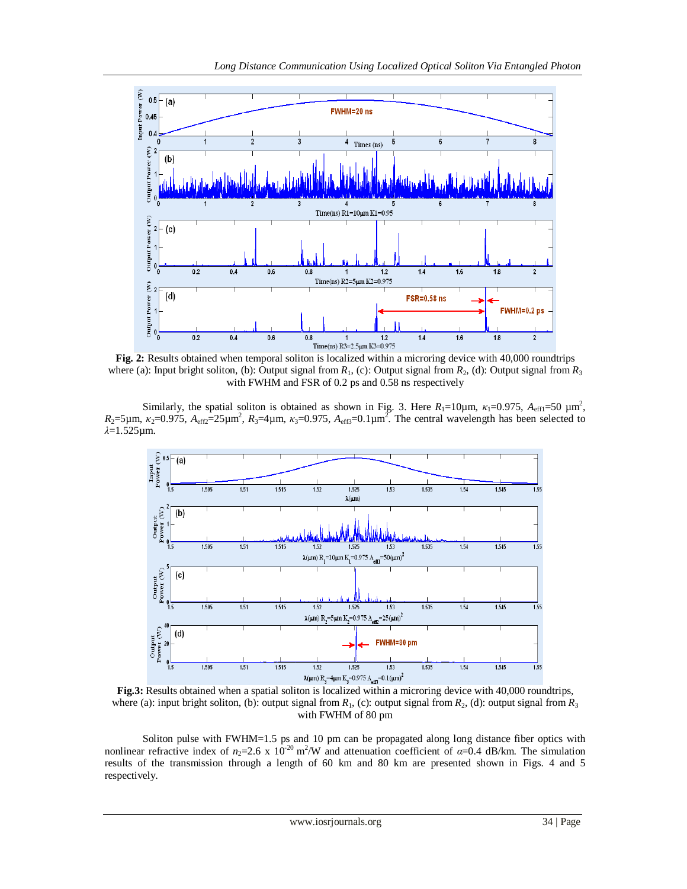

**Fig. 2:** Results obtained when temporal soliton is localized within a microring device with 40,000 roundtrips where (a): Input bright soliton, (b): Output signal from  $R_1$ , (c): Output signal from  $R_2$ , (d): Output signal from  $R_3$ with FWHM and FSR of 0.2 ps and 0.58 ns respectively

Similarly, the spatial soliton is obtained as shown in Fig. 3. Here  $R_1=10\mu$ m,  $\kappa_1=0.975$ ,  $A_{eff1}=50 \mu m^2$ ,  $R_2$ =5µm,  $\kappa_2$ =0.975,  $A_{eff2}$ =25µm<sup>2</sup>,  $R_3$ =4µm,  $\kappa_3$ =0.975,  $A_{eff3}$ =0.1µm<sup>2</sup>. The central wavelength has been selected to *λ*=1.525µm.



**Fig.3:** Results obtained when a spatial soliton is localized within a microring device with 40,000 roundtrips, where (a): input bright soliton, (b): output signal from  $R_1$ , (c): output signal from  $R_2$ , (d): output signal from  $R_3$ with FWHM of 80 pm

Soliton pulse with FWHM=1.5 ps and 10 pm can be propagated along long distance fiber optics with nonlinear refractive index of  $n_2=2.6 \times 10^{-20} \text{ m}^2/\text{W}$  and attenuation coefficient of  $\alpha=0.4$  dB/km. The simulation results of the transmission through a length of 60 km and 80 km are presented shown in Figs. 4 and 5 respectively.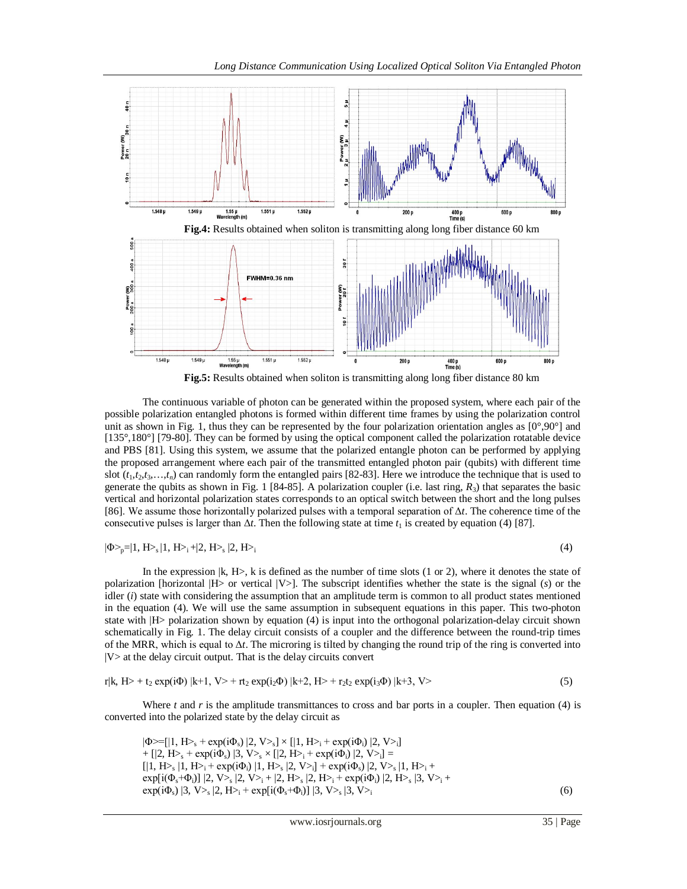

The continuous variable of photon can be generated within the proposed system, where each pair of the

possible polarization entangled photons is formed within different time frames by using the polarization control unit as shown in Fig. 1, thus they can be represented by the four polarization orientation angles as  $[0^{\circ},90^{\circ}]$  and [135°,180°] [79-80]. They can be formed by using the optical component called the polarization rotatable device and PBS [81]. Using this system, we assume that the polarized entangle photon can be performed by applying the proposed arrangement where each pair of the transmitted entangled photon pair (qubits) with different time slot  $(t_1, t_2, t_3, \ldots, t_n)$  can randomly form the entangled pairs [82-83]. Here we introduce the technique that is used to generate the qubits as shown in Fig. 1 [84-85]. A polarization coupler (i.e. last ring, *R*3) that separates the basic vertical and horizontal polarization states corresponds to an optical switch between the short and the long pulses [86]. We assume those horizontally polarized pulses with a temporal separation of Δ*t*. The coherence time of the consecutive pulses is larger than  $\Delta t$ . Then the following state at time  $t_1$  is created by equation (4) [87].

$$
|\Phi\!\!>_{p}\!\!=\!\!|1,H\!\!>_{s}|1,H\!\!>_{i}\!+\!\!|2,H\!\!>_{s}|2,H\!\!>_{i}
$$

 $|2, H_{i} \rangle$  (4)

In the expression  $|k, H\rangle$ , k is defined as the number of time slots (1 or 2), where it denotes the state of polarization [horizontal |H> or vertical |V>]. The subscript identifies whether the state is the signal (*s*) or the idler (*i*) state with considering the assumption that an amplitude term is common to all product states mentioned in the equation (4). We will use the same assumption in subsequent equations in this paper. This two-photon state with |H> polarization shown by equation (4) is input into the orthogonal polarization-delay circuit shown schematically in Fig. 1. The delay circuit consists of a coupler and the difference between the round-trip times of the MRR, which is equal to  $\Delta t$ . The microring is tilted by changing the round trip of the ring is converted into  $|V\rangle$  at the delay circuit output. That is the delay circuits convert

$$
r|k, H> + t_2 \exp(i\Phi) |k+1, V> + rt_2 \exp(i_2\Phi) |k+2, H> + r_2t_2 \exp(i_3\Phi) |k+3, V> \tag{5}
$$

Where  $t$  and  $r$  is the amplitude transmittances to cross and bar ports in a coupler. Then equation (4) is converted into the polarized state by the delay circuit as

 $|\Phi>=[1, H>_s + \exp(i\Phi_s) |2, V>_s] \times [1, H>_i + \exp(i\Phi_i) |2, V>_i]$ + [|2, H > + exp(i $\Phi$ <sub>s</sub>) |3, V >  $\times$  [|2, H > + exp(i $\Phi$ <sub>i</sub>) |2, V > i] =  $[|1, H_{\geq s} | 1, H_{\geq i} + exp(i\Phi_i) | 1, H_{\geq s} | 2, V_{\geq i}] + exp(i\Phi_s) | 2, V_{\geq s} | 1, H_{\geq i} +$  $\exp[i(\Phi_s + \Phi_i)] \, |2, V>_s |2, V>_i + |2, H>_s |2, H>_i + \exp(i\Phi_i) |2, H>_s |3, V>_i +$  $\exp(i\Phi_s)$  |3, V><sub>s</sub> |2, H><sub>i</sub> +  $\exp[i(\Phi_s+\Phi_i)]$  |3, V><sub>s</sub> |3, V><sub>i</sub> (6)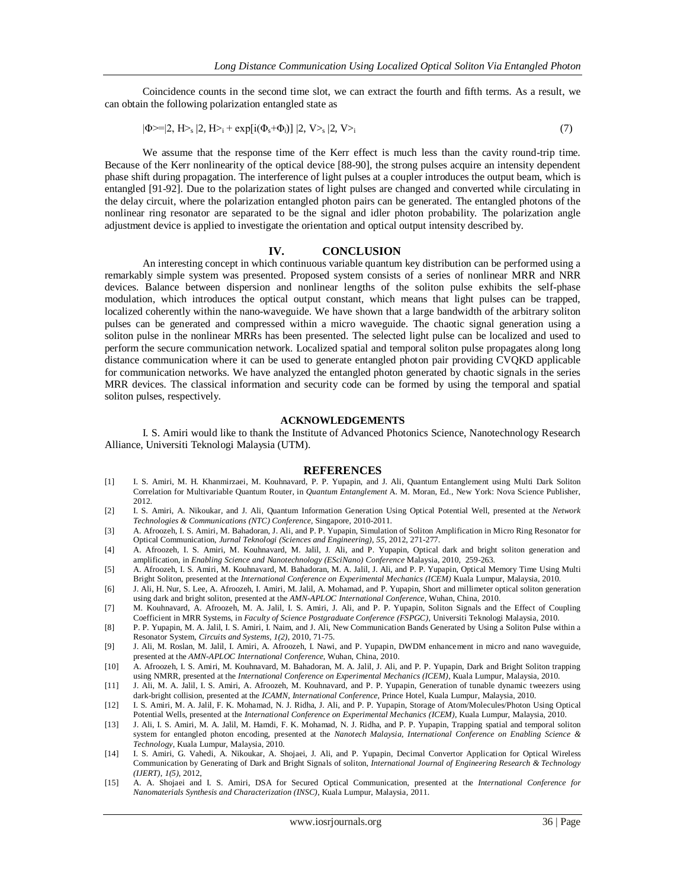Coincidence counts in the second time slot, we can extract the fourth and fifth terms. As a result, we can obtain the following polarization entangled state as

$$
|\Phi \geq |2, H \geq s |2, H \geq t + \exp[i(\Phi_s + \Phi_i)] |2, V \geq s |2, V \geq t \tag{7}
$$

We assume that the response time of the Kerr effect is much less than the cavity round-trip time. Because of the Kerr nonlinearity of the optical device [88-90], the strong pulses acquire an intensity dependent phase shift during propagation. The interference of light pulses at a coupler introduces the output beam, which is entangled [91-92]. Due to the polarization states of light pulses are changed and converted while circulating in the delay circuit, where the polarization entangled photon pairs can be generated. The entangled photons of the nonlinear ring resonator are separated to be the signal and idler photon probability. The polarization angle adjustment device is applied to investigate the orientation and optical output intensity described by.

#### **IV. CONCLUSION**

An interesting concept in which continuous variable quantum key distribution can be performed using a remarkably simple system was presented. Proposed system consists of a series of nonlinear MRR and NRR devices. Balance between dispersion and nonlinear lengths of the soliton pulse exhibits the self-phase modulation, which introduces the optical output constant, which means that light pulses can be trapped, localized coherently within the nano-waveguide. We have shown that a large bandwidth of the arbitrary soliton pulses can be generated and compressed within a micro waveguide. The chaotic signal generation using a soliton pulse in the nonlinear MRRs has been presented. The selected light pulse can be localized and used to perform the secure communication network. Localized spatial and temporal soliton pulse propagates along long distance communication where it can be used to generate entangled photon pair providing CVQKD applicable for communication networks. We have analyzed the entangled photon generated by chaotic signals in the series MRR devices. The classical information and security code can be formed by using the temporal and spatial soliton pulses, respectively.

### **ACKNOWLEDGEMENTS**

I. S. Amiri would like to thank the Institute of Advanced Photonics Science, Nanotechnology Research Alliance, Universiti Teknologi Malaysia (UTM).

#### **REFERENCES**

- [1] I. S. Amiri, M. H. Khanmirzaei, M. Kouhnavard, P. P. Yupapin, and J. Ali, Quantum Entanglement using Multi Dark Soliton Correlation for Multivariable Quantum Router, in *Quantum Entanglement* A. M. Moran, Ed., New York: Nova Science Publisher, 2012.
- [2] I. S. Amiri, A. Nikoukar, and J. Ali, Quantum Information Generation Using Optical Potential Well, presented at the *Network Technologies & Communications (NTC) Conference*, Singapore, 2010-2011.
- [3] A. Afroozeh, I. S. Amiri, M. Bahadoran, J. Ali, and P. P. Yupapin, Simulation of Soliton Amplification in Micro Ring Resonator for Optical Communication, *Jurnal Teknologi (Sciences and Engineering)*, *55*, 2012, 271-277.
- [4] A. Afroozeh, I. S. Amiri, M. Kouhnavard, M. Jalil, J. Ali, and P. Yupapin, Optical dark and bright soliton generation and amplification, in *Enabling Science and Nanotechnology (ESciNano) Conference* Malaysia, 2010, 259-263.
- [5] A. Afroozeh, I. S. Amiri, M. Kouhnavard, M. Bahadoran, M. A. Jalil, J. Ali, and P. P. Yupapin, Optical Memory Time Using Multi Bright Soliton, presented at the *International Conference on Experimental Mechanics (ICEM)* Kuala Lumpur, Malaysia, 2010.
- [6] J. Ali, H. Nur, S. Lee, A. Afroozeh, I. Amiri, M. Jalil, A. Mohamad, and P. Yupapin, Short and millimeter optical soliton generation using dark and bright soliton, presented at the *AMN-APLOC International Conference*, Wuhan, China, 2010.
- [7] M. Kouhnavard, A. Afroozeh, M. A. Jalil, I. S. Amiri, J. Ali, and P. P. Yupapin, Soliton Signals and the Effect of Coupling Coefficient in MRR Systems, in *Faculty of Science Postgraduate Conference (FSPGC)*, Universiti Teknologi Malaysia, 2010.
- [8] P. P. Yupapin, M. A. Jalil, I. S. Amiri, I. Naim, and J. Ali, New Communication Bands Generated by Using a Soliton Pulse within a Resonator System, *Circuits and Systems*, *1(2)*, 2010, 71-75.
- [9] J. Ali, M. Roslan, M. Jalil, I. Amiri, A. Afroozeh, I. Nawi, and P. Yupapin, DWDM enhancement in micro and nano waveguide, presented at the *AMN-APLOC International Conference*, Wuhan, China, 2010.
- [10] A. Afroozeh, I. S. Amiri, M. Kouhnavard, M. Bahadoran, M. A. Jalil, J. Ali, and P. P. Yupapin, Dark and Bright Soliton trapping using NMRR, presented at the *International Conference on Experimental Mechanics (ICEM)*, Kuala Lumpur, Malaysia, 2010.
- [11] J. Ali, M. A. Jalil, I. S. Amiri, A. Afroozeh, M. Kouhnavard, and P. P. Yupapin, Generation of tunable dynamic tweezers using dark-bright collision, presented at the *ICAMN*, *International Conference,* Prince Hotel, Kuala Lumpur, Malaysia, 2010.
- [12] I. S. Amiri, M. A. Jalil, F. K. Mohamad, N. J. Ridha, J. Ali, and P. P. Yupapin, Storage of Atom/Molecules/Photon Using Optical Potential Wells, presented at the *International Conference on Experimental Mechanics (ICEM)*, Kuala Lumpur, Malaysia, 2010.
- [13] J. Ali, I. S. Amiri, M. A. Jalil, M. Hamdi, F. K. Mohamad, N. J. Ridha, and P. P. Yupapin, Trapping spatial and temporal soliton system for entangled photon encoding, presented at the *Nanotech Malaysia, International Conference on Enabling Science & Technology*, Kuala Lumpur, Malaysia, 2010.
- [14] I. S. Amiri, G. Vahedi, A. Nikoukar, A. Shojaei, J. Ali, and P. Yupapin, Decimal Convertor Application for Optical Wireless Communication by Generating of Dark and Bright Signals of soliton, *International Journal of Engineering Research & Technology (IJERT)*, *1(5)*, 2012,
- [15] A. A. Shojaei and I. S. Amiri, DSA for Secured Optical Communication, presented at the *International Conference for Nanomaterials Synthesis and Characterization (INSC)*, Kuala Lumpur, Malaysia, 2011.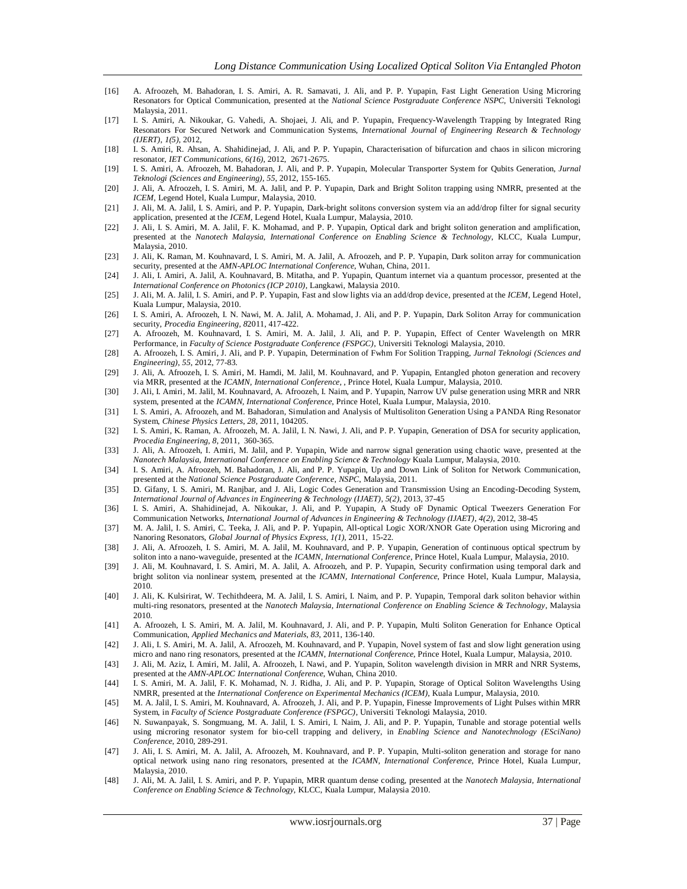- [16] A. Afroozeh, M. Bahadoran, I. S. Amiri, A. R. Samavati, J. Ali, and P. P. Yupapin, Fast Light Generation Using Microring Resonators for Optical Communication, presented at the *National Science Postgraduate Conference NSPC*, Universiti Teknologi Malaysia, 2011.
- [17] I. S. Amiri, A. Nikoukar, G. Vahedi, A. Shojaei, J. Ali, and P. Yupapin, Frequency-Wavelength Trapping by Integrated Ring Resonators For Secured Network and Communication Systems, *International Journal of Engineering Research & Technology (IJERT)*, *1(5)*, 2012,
- [18] I. S. Amiri, R. Ahsan, A. Shahidinejad, J. Ali, and P. P. Yupapin, Characterisation of bifurcation and chaos in silicon microring resonator, *IET Communications, 6(16)*, 2012, 2671-2675.
- [19] I. S. Amiri, A. Afroozeh, M. Bahadoran, J. Ali, and P. P. Yupapin, Molecular Transporter System for Qubits Generation, *Jurnal Teknologi (Sciences and Engineering), 55,* 2012, 155-165.
- [20] J. Ali, A. Afroozeh, I. S. Amiri, M. A. Jalil, and P. P. Yupapin, Dark and Bright Soliton trapping using NMRR, presented at the *ICEM*, Legend Hotel, Kuala Lumpur, Malaysia, 2010.
- [21] J. Ali, M. A. Jalil, I. S. Amiri, and P. P. Yupapin, Dark-bright solitons conversion system via an add/drop filter for signal security application, presented at the *ICEM*, Legend Hotel, Kuala Lumpur, Malaysia, 2010.
- [22] J. Ali, I. S. Amiri, M. A. Jalil, F. K. Mohamad, and P. P. Yupapin, Optical dark and bright soliton generation and amplification, presented at the *Nanotech Malaysia, International Conference on Enabling Science & Technology*, KLCC, Kuala Lumpur, Malaysia, 2010.
- [23] J. Ali, K. Raman, M. Kouhnavard, I. S. Amiri, M. A. Jalil, A. Afroozeh, and P. P. Yupapin, Dark soliton array for communication security, presented at the *AMN-APLOC International Conference*, Wuhan, China, 2011.
- [24] J. Ali, I. Amiri, A. Jalil, A. Kouhnavard, B. Mitatha, and P. Yupapin, Quantum internet via a quantum processor, presented at the *International Conference on Photonics (ICP 2010)*, Langkawi, Malaysia 2010.
- [25] J. Ali, M. A. Jalil, I. S. Amiri, and P. P. Yupapin, Fast and slow lights via an add/drop device, presented at the *ICEM*, Legend Hotel, Kuala Lumpur, Malaysia, 2010.
- [26] I. S. Amiri, A. Afroozeh, I. N. Nawi, M. A. Jalil, A. Mohamad, J. Ali, and P. P. Yupapin, Dark Soliton Array for communication security, *Procedia Engineering, 8*2011, 417-422.
- [27] A. Afroozeh, M. Kouhnavard, I. S. Amiri, M. A. Jalil, J. Ali, and P. P. Yupapin, Effect of Center Wavelength on MRR Performance, in *Faculty of Science Postgraduate Conference (FSPGC)*, Universiti Teknologi Malaysia, 2010.
- [28] A. Afroozeh, I. S. Amiri, J. Ali, and P. P. Yupapin, Determination of Fwhm For Solition Trapping, *Jurnal Teknologi (Sciences and Engineering)*, *55*, 2012, 77-83.
- [29] J. Ali, A. Afroozeh, I. S. Amiri, M. Hamdi, M. Jalil, M. Kouhnavard, and P. Yupapin, Entangled photon generation and recovery via MRR, presented at the *ICAMN, International Conference,* , Prince Hotel, Kuala Lumpur, Malaysia, 2010.
- [30] J. Ali, I. Amiri, M. Jalil, M. Kouhnavard, A. Afroozeh, I. Naim, and P. Yupapin, Narrow UV pulse generation using MRR and NRR system, presented at the *ICAMN, International Conference*, Prince Hotel, Kuala Lumpur, Malaysia, 2010.
- [31] I. S. Amiri, A. Afroozeh, and M. Bahadoran, Simulation and Analysis of Multisoliton Generation Using a PANDA Ring Resonator System, *Chinese Physics Letters*, *28*, 2011, 104205.
- [32] I. S. Amiri, K. Raman, A. Afroozeh, M. A. Jalil, I. N. Nawi, J. Ali, and P. P. Yupapin, Generation of DSA for security application, *Procedia Engineering*, *8*, 2011, 360-365.
- [33] J. Ali, A. Afroozeh, I. Amiri, M. Jalil, and P. Yupapin, Wide and narrow signal generation using chaotic wave, presented at the *Nanotech Malaysia, International Conference on Enabling Science & Technology* Kuala Lumpur, Malaysia, 2010.
- [34] I. S. Amiri, A. Afroozeh, M. Bahadoran, J. Ali, and P. P. Yupapin, Up and Down Link of Soliton for Network Communication, presented at the *National Science Postgraduate Conference*, *NSPC*, Malaysia, 2011.
- [35] D. Gifany, I. S. Amiri, M. Ranjbar, and J. Ali, Logic Codes Generation and Transmission Using an Encoding-Decoding System, *International Journal of Advances in Engineering & Technology (IJAET)*, *5(2)*, 2013, 37-45
- [36] I. S. Amiri, A. Shahidinejad, A. Nikoukar, J. Ali, and P. Yupapin, A Study oF Dynamic Optical Tweezers Generation For Communication Networks, *International Journal of Advances in Engineering & Technology (IJAET)*, *4(2)*, 2012, 38-45
- [37] M. A. Jalil, I. S. Amiri, C. Teeka, J. Ali, and P. P. Yupapin, All-optical Logic XOR/XNOR Gate Operation using Microring and Nanoring Resonators, *Global Journal of Physics Express*, *1(1)*, 2011, 15-22.
- [38] J. Ali, A. Afroozeh, I. S. Amiri, M. A. Jalil, M. Kouhnavard, and P. P. Yupapin, Generation of continuous optical spectrum by soliton into a nano-waveguide, presented at the *ICAMN, International Conference*, Prince Hotel, Kuala Lumpur, Malaysia, 2010.
- [39] J. Ali, M. Kouhnavard, I. S. Amiri, M. A. Jalil, A. Afroozeh, and P. P. Yupapin, Security confirmation using temporal dark and bright soliton via nonlinear system, presented at the *ICAMN*, *International Conference*, Prince Hotel, Kuala Lumpur, Malaysia, 2010.
- [40] J. Ali, K. Kulsirirat, W. Techithdeera, M. A. Jalil, I. S. Amiri, I. Naim, and P. P. Yupapin, Temporal dark soliton behavior within multi-ring resonators, presented at the *Nanotech Malaysia, International Conference on Enabling Science & Technology*, Malaysia 2010.
- [41] A. Afroozeh, I. S. Amiri, M. A. Jalil, M. Kouhnavard, J. Ali, and P. P. Yupapin, Multi Soliton Generation for Enhance Optical Communication, *Applied Mechanics and Materials*, *83*, 2011, 136-140.
- [42] J. Ali, I. S. Amiri, M. A. Jalil, A. Afroozeh, M. Kouhnavard, and P. Yupapin, Novel system of fast and slow light generation using micro and nano ring resonators, presented at the *ICAMN*, *International Conference*, Prince Hotel, Kuala Lumpur, Malaysia, 2010.
- [43] J. Ali, M. Aziz, I. Amiri, M. Jalil, A. Afroozeh, I. Nawi, and P. Yupapin, Soliton wavelength division in MRR and NRR Systems, presented at the *AMN-APLOC International Conference*, Wuhan, China 2010.
- [44] I. S. Amiri, M. A. Jalil, F. K. Mohamad, N. J. Ridha, J. Ali, and P. P. Yupapin, Storage of Optical Soliton Wavelengths Using NMRR, presented at the *International Conference on Experimental Mechanics (ICEM)*, Kuala Lumpur, Malaysia, 2010.
- [45] M. A. Jalil, I. S. Amiri, M. Kouhnavard, A. Afroozeh, J. Ali, and P. P. Yupapin, Finesse Improvements of Light Pulses within MRR System, in *Faculty of Science Postgraduate Conference (FSPGC)*, Universiti Teknologi Malaysia, 2010.
- [46] N. Suwanpayak, S. Songmuang, M. A. Jalil, I. S. Amiri, I. Naim, J. Ali, and P. P. Yupapin, Tunable and storage potential wells using microring resonator system for bio-cell trapping and delivery, in *Enabling Science and Nanotechnology (ESciNano) Conference*, 2010, 289-291.
- [47] J. Ali, I. S. Amiri, M. A. Jalil, A. Afroozeh, M. Kouhnavard, and P. P. Yupapin, Multi-soliton generation and storage for nano optical network using nano ring resonators, presented at the *ICAMN, International Conference*, Prince Hotel, Kuala Lumpur, Malaysia, 2010.
- [48] J. Ali, M. A. Jalil, I. S. Amiri, and P. P. Yupapin, MRR quantum dense coding, presented at the *Nanotech Malaysia, International Conference on Enabling Science & Technology*, KLCC, Kuala Lumpur, Malaysia 2010.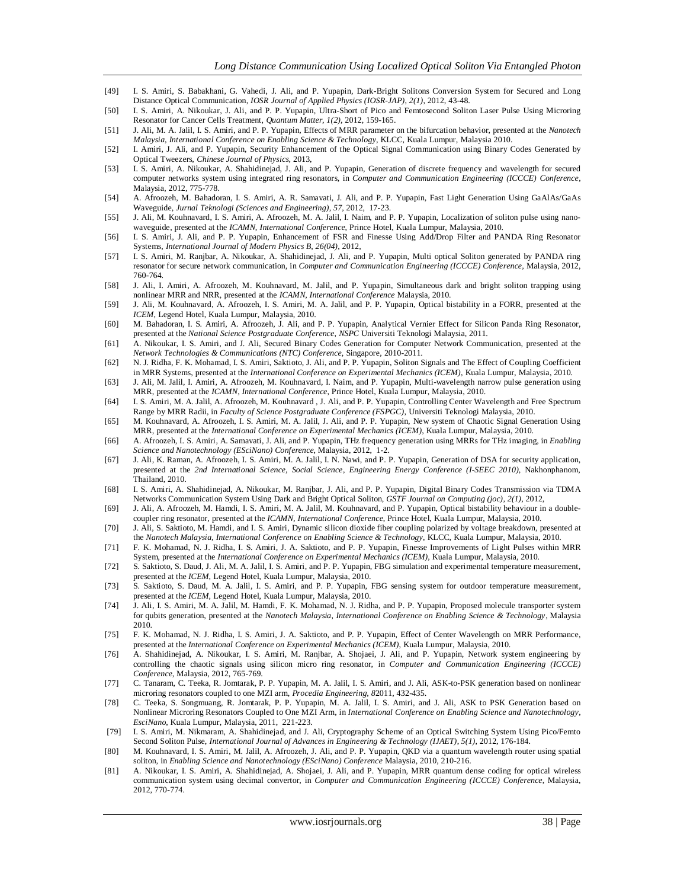- [49] I. S. Amiri, S. Babakhani, G. Vahedi, J. Ali, and P. Yupapin, Dark-Bright Solitons Conversion System for Secured and Long Distance Optical Communication, *IOSR Journal of Applied Physics (IOSR-JAP)*, *2(1)*, 2012, 43-48.
- [50] I. S. Amiri, A. Nikoukar, J. Ali, and P. P. Yupapin, Ultra-Short of Pico and Femtosecond Soliton Laser Pulse Using Microring Resonator for Cancer Cells Treatment, *Quantum Matter*, *1(2)*, 2012, 159-165.
- [51] J. Ali, M. A. Jalil, I. S. Amiri, and P. P. Yupapin, Effects of MRR parameter on the bifurcation behavior, presented at the *Nanotech Malaysia, International Conference on Enabling Science & Technology*, KLCC, Kuala Lumpur, Malaysia 2010.
- [52] I. Amiri, J. Ali, and P. Yupapin, Security Enhancement of the Optical Signal Communication using Binary Codes Generated by Optical Tweezers, *Chinese Journal of Physics,* 2013,
- [53] I. S. Amiri, A. Nikoukar, A. Shahidinejad, J. Ali, and P. Yupapin, Generation of discrete frequency and wavelength for secured computer networks system using integrated ring resonators, in *Computer and Communication Engineering (ICCCE) Conference*, Malaysia, 2012, 775-778.
- [54] A. Afroozeh, M. Bahadoran, I. S. Amiri, A. R. Samavati, J. Ali, and P. P. Yupapin, Fast Light Generation Using GaAlAs/GaAs Waveguide, *Jurnal Teknologi (Sciences and Engineering)*, *57*, 2012, 17-23.
- [55] J. Ali, M. Kouhnavard, I. S. Amiri, A. Afroozeh, M. A. Jalil, I. Naim, and P. P. Yupapin, Localization of soliton pulse using nanowaveguide, presented at the *ICAMN, International Conference*, Prince Hotel, Kuala Lumpur, Malaysia, 2010.
- [56] I. S. Amiri, J. Ali, and P. P. Yupapin, Enhancement of FSR and Finesse Using Add/Drop Filter and PANDA Ring Resonator Systems, *International Journal of Modern Physics B*, *26(04)*, 2012,
- [57] I. S. Amiri, M. Ranjbar, A. Nikoukar, A. Shahidinejad, J. Ali, and P. Yupapin, Multi optical Soliton generated by PANDA ring resonator for secure network communication, in *Computer and Communication Engineering (ICCCE) Conference,* Malaysia, 2012, 760-764.
- [58] J. Ali, I. Amiri, A. Afroozeh, M. Kouhnavard, M. Jalil, and P. Yupapin, Simultaneous dark and bright soliton trapping using nonlinear MRR and NRR, presented at the *ICAMN*, *International Conference* Malaysia, 2010.
- [59] J. Ali, M. Kouhnavard, A. Afroozeh, I. S. Amiri, M. A. Jalil, and P. P. Yupapin, Optical bistability in a FORR, presented at the *ICEM*, Legend Hotel, Kuala Lumpur, Malaysia, 2010.
- [60] M. Bahadoran, I. S. Amiri, A. Afroozeh, J. Ali, and P. P. Yupapin, Analytical Vernier Effect for Silicon Panda Ring Resonator, presented at the *National Science Postgraduate Conference*, *NSPC* Universiti Teknologi Malaysia, 2011.
- [61] A. Nikoukar, I. S. Amiri, and J. Ali, Secured Binary Codes Generation for Computer Network Communication, presented at the *Network Technologies & Communications (NTC) Conference*, Singapore, 2010-2011.
- [62] N. J. Ridha, F. K. Mohamad, I. S. Amiri, Saktioto, J. Ali, and P. P. Yupapin, Soliton Signals and The Effect of Coupling Coefficient in MRR Systems, presented at the *International Conference on Experimental Mechanics (ICEM)*, Kuala Lumpur, Malaysia, 2010.
- [63] J. Ali, M. Jalil, I. Amiri, A. Afroozeh, M. Kouhnavard, I. Naim, and P. Yupapin, Multi-wavelength narrow pulse generation using MRR, presented at the *ICAMN, International Conference*, Prince Hotel, Kuala Lumpur, Malaysia, 2010.
- [64] I. S. Amiri, M. A. Jalil, A. Afroozeh, M. Kouhnavard , J. Ali, and P. P. Yupapin, Controlling Center Wavelength and Free Spectrum Range by MRR Radii, in *Faculty of Science Postgraduate Conference (FSPGC)*, Universiti Teknologi Malaysia, 2010.
- [65] M. Kouhnavard, A. Afroozeh, I. S. Amiri, M. A. Jalil, J. Ali, and P. P. Yupapin, New system of Chaotic Signal Generation Using MRR, presented at the *International Conference on Experimental Mechanics (ICEM)*, Kuala Lumpur, Malaysia, 2010.
- [66] A. Afroozeh, I. S. Amiri, A. Samavati, J. Ali, and P. Yupapin, THz frequency generation using MRRs for THz imaging, in *Enabling Science and Nanotechnology (ESciNano) Conference,* Malaysia, 2012, 1-2.
- [67] J. Ali, K. Raman, A. Afroozeh, I. S. Amiri, M. A. Jalil, I. N. Nawi, and P. P. Yupapin, Generation of DSA for security application, presented at the *2nd International Science, Social Science*, *Engineering Energy Conference (I-SEEC 2010)*, Nakhonphanom, Thailand, 2010.
- [68] I. S. Amiri, A. Shahidinejad, A. Nikoukar, M. Ranjbar, J. Ali, and P. P. Yupapin, Digital Binary Codes Transmission via TDMA Networks Communication System Using Dark and Bright Optical Soliton, *GSTF Journal on Computing (joc)*, *2(1)*, 2012,
- [69] J. Ali, A. Afroozeh, M. Hamdi, I. S. Amiri, M. A. Jalil, M. Kouhnavard, and P. Yupapin, Optical bistability behaviour in a doublecoupler ring resonator, presented at the *ICAMN, International Conference*, Prince Hotel, Kuala Lumpur, Malaysia, 2010.
- [70] J. Ali, S. Saktioto, M. Hamdi, and I. S. Amiri, Dynamic silicon dioxide fiber coupling polarized by voltage breakdown, presented at the *Nanotech Malaysia, International Conference on Enabling Science & Technology*, KLCC, Kuala Lumpur, Malaysia, 2010.
- [71] F. K. Mohamad, N. J. Ridha, I. S. Amiri, J. A. Saktioto, and P. P. Yupapin, Finesse Improvements of Light Pulses within MRR System, presented at the *International Conference on Experimental Mechanics (ICEM)*, Kuala Lumpur, Malaysia, 2010.
- [72] S. Saktioto, S. Daud, J. Ali, M. A. Jalil, I. S. Amiri, and P. P. Yupapin, FBG simulation and experimental temperature measurement, presented at the *ICEM*, Legend Hotel, Kuala Lumpur, Malaysia, 2010.
- [73] S. Saktioto, S. Daud, M. A. Jalil, I. S. Amiri, and P. P. Yupapin, FBG sensing system for outdoor temperature measurement, presented at the *ICEM*, Legend Hotel, Kuala Lumpur, Malaysia, 2010.
- [74] J. Ali, I. S. Amiri, M. A. Jalil, M. Hamdi, F. K. Mohamad, N. J. Ridha, and P. P. Yupapin, Proposed molecule transporter system for qubits generation, presented at the *Nanotech Malaysia, International Conference on Enabling Science & Technology*, Malaysia 2010.
- [75] F. K. Mohamad, N. J. Ridha, I. S. Amiri, J. A. Saktioto, and P. P. Yupapin, Effect of Center Wavelength on MRR Performance, presented at the *International Conference on Experimental Mechanics (ICEM)*, Kuala Lumpur, Malaysia, 2010.
- [76] A. Shahidinejad, A. Nikoukar, I. S. Amiri, M. Ranjbar, A. Shojaei, J. Ali, and P. Yupapin, Network system engineering by controlling the chaotic signals using silicon micro ring resonator, in *Computer and Communication Engineering (ICCCE) Conference*, Malaysia, 2012, 765-769.
- [77] C. Tanaram, C. Teeka, R. Jomtarak, P. P. Yupapin, M. A. Jalil, I. S. Amiri, and J. Ali, ASK-to-PSK generation based on nonlinear microring resonators coupled to one MZI arm, *Procedia Engineering, 8*2011, 432-435.
- [78] C. Teeka, S. Songmuang, R. Jomtarak, P. P. Yupapin, M. A. Jalil, I. S. Amiri, and J. Ali, ASK to PSK Generation based on Nonlinear Microring Resonators Coupled to One MZI Arm, in *International Conference on Enabling Science and Nanotechnology*, *EsciNano*, Kuala Lumpur, Malaysia, 2011, 221-223.
- [79] I. S. Amiri, M. Nikmaram, A. Shahidinejad, and J. Ali, Cryptography Scheme of an Optical Switching System Using Pico/Femto Second Soliton Pulse, *International Journal of Advances in Engineering & Technology (IJAET)*, *5(1)*, 2012, 176-184.
- [80] M. Kouhnavard, I. S. Amiri, M. Jalil, A. Afroozeh, J. Ali, and P. P. Yupapin, QKD via a quantum wavelength router using spatial soliton, in *Enabling Science and Nanotechnology (ESciNano) Conference* Malaysia, 2010, 210-216.
- [81] A. Nikoukar, I. S. Amiri, A. Shahidinejad, A. Shojaei, J. Ali, and P. Yupapin, MRR quantum dense coding for optical wireless communication system using decimal convertor, in *Computer and Communication Engineering (ICCCE) Conference*, Malaysia, 2012, 770-774.